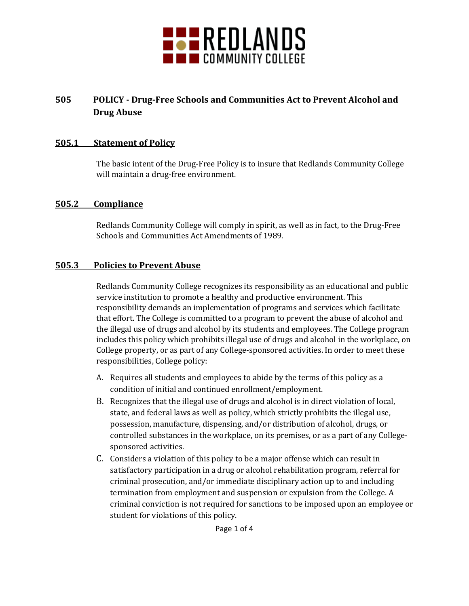

## **505 POLICY - Drug-Free Schools and Communities Act to Prevent Alcohol and Drug Abuse**

#### **505.1 Statement of Policy**

The basic intent of the Drug-Free Policy is to insure that Redlands Community College will maintain a drug-free environment.

#### **505.2 Compliance**

Redlands Community College will comply in spirit, as well as in fact, to the Drug-Free Schools and Communities Act Amendments of 1989.

#### **505.3 Policies to Prevent Abuse**

Redlands Community College recognizes its responsibility as an educational and public service institution to promote a healthy and productive environment. This responsibility demands an implementation of programs and services which facilitate that effort. The College is committed to a program to prevent the abuse of alcohol and the illegal use of drugs and alcohol by its students and employees. The College program includes this policy which prohibits illegal use of drugs and alcohol in the workplace, on College property, or as part of any College-sponsored activities. In order to meet these responsibilities, College policy:

- A. Requires all students and employees to abide by the terms of this policy as a condition of initial and continued enrollment/employment.
- B. Recognizes that the illegal use of drugs and alcohol is in direct violation of local, state, and federal laws as well as policy, which strictly prohibits the illegal use, possession, manufacture, dispensing, and/or distribution of alcohol, drugs, or controlled substances in the workplace, on its premises, or as a part of any Collegesponsored activities.
- C. Considers a violation of this policy to be a major offense which can result in satisfactory participation in a drug or alcohol rehabilitation program, referral for criminal prosecution, and/or immediate disciplinary action up to and including termination from employment and suspension or expulsion from the College. A criminal conviction is not required for sanctions to be imposed upon an employee or student for violations of this policy.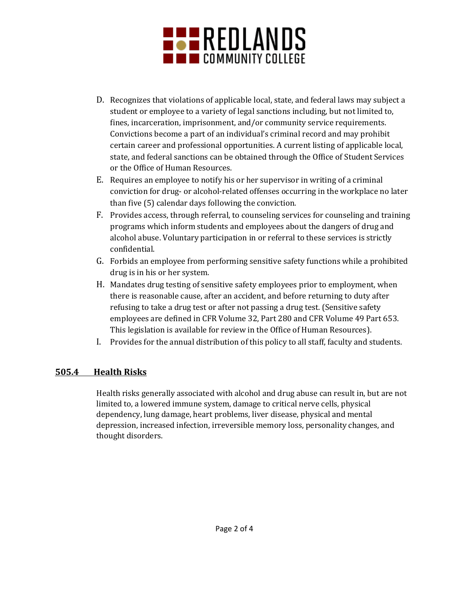

- D. Recognizes that violations of applicable local, state, and federal laws may subject a student or employee to a variety of legal sanctions including, but not limited to, fines, incarceration, imprisonment, and/or community service requirements. Convictions become a part of an individual's criminal record and may prohibit certain career and professional opportunities. A current listing of applicable local, state, and federal sanctions can be obtained through the Office of Student Services or the Office of Human Resources.
- E. Requires an employee to notify his or her supervisor in writing of a criminal conviction for drug- or alcohol-related offenses occurring in the workplace no later than five (5) calendar days following the conviction.
- F. Provides access, through referral, to counseling services for counseling and training programs which inform students and employees about the dangers of drug and alcohol abuse. Voluntary participation in or referral to these services is strictly confidential.
- G. Forbids an employee from performing sensitive safety functions while a prohibited drug is in his or her system.
- H. Mandates drug testing of sensitive safety employees prior to employment, when there is reasonable cause, after an accident, and before returning to duty after refusing to take a drug test or after not passing a drug test. (Sensitive safety employees are defined in CFR Volume 32, Part 280 and CFR Volume 49 Part 653. This legislation is available for review in the Office of Human Resources).
- I. Provides for the annual distribution of this policy to all staff, faculty and students.

### **505.4 Health Risks**

Health risks generally associated with alcohol and drug abuse can result in, but are not limited to, a lowered immune system, damage to critical nerve cells, physical dependency, lung damage, heart problems, liver disease, physical and mental depression, increased infection, irreversible memory loss, personality changes, and thought disorders.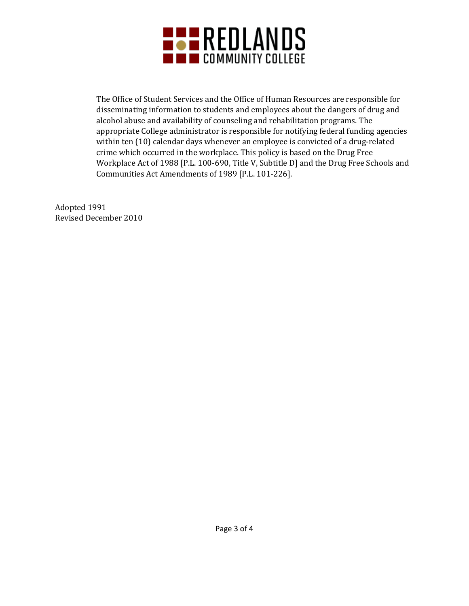

The Office of Student Services and the Office of Human Resources are responsible for disseminating information to students and employees about the dangers of drug and alcohol abuse and availability of counseling and rehabilitation programs. The appropriate College administrator is responsible for notifying federal funding agencies within ten (10) calendar days whenever an employee is convicted of a drug-related crime which occurred in the workplace. This policy is based on the Drug Free Workplace Act of 1988 [P.L. 100-690, Title V, Subtitle D] and the Drug Free Schools and Communities Act Amendments of 1989 [P.L. 101-226].

Adopted 1991 Revised December 2010